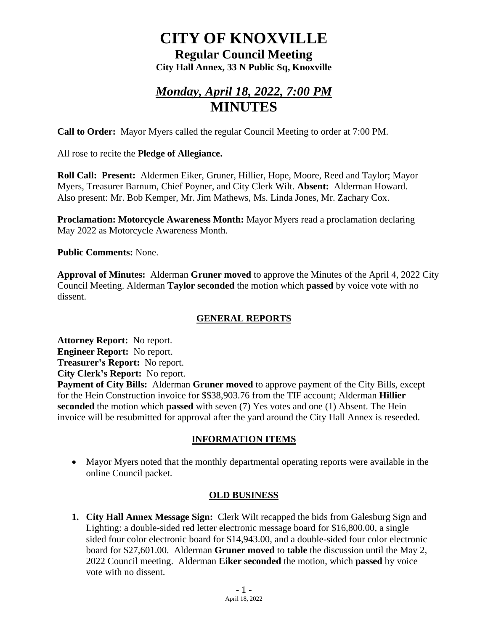# **CITY OF KNOXVILLE**

**Regular Council Meeting City Hall Annex, 33 N Public Sq, Knoxville**

# *Monday, April 18, 2022, 7:00 PM* **MINUTES**

**Call to Order:** Mayor Myers called the regular Council Meeting to order at 7:00 PM.

All rose to recite the **Pledge of Allegiance.**

**Roll Call: Present:** Aldermen Eiker, Gruner, Hillier, Hope, Moore, Reed and Taylor; Mayor Myers, Treasurer Barnum, Chief Poyner, and City Clerk Wilt. **Absent:** Alderman Howard. Also present: Mr. Bob Kemper, Mr. Jim Mathews, Ms. Linda Jones, Mr. Zachary Cox.

**Proclamation: Motorcycle Awareness Month:** Mayor Myers read a proclamation declaring May 2022 as Motorcycle Awareness Month.

**Public Comments:** None.

**Approval of Minutes:** Alderman **Gruner moved** to approve the Minutes of the April 4, 2022 City Council Meeting. Alderman **Taylor seconded** the motion which **passed** by voice vote with no dissent.

## **GENERAL REPORTS**

**Attorney Report:** No report. **Engineer Report:** No report. **Treasurer's Report:** No report. **City Clerk's Report:** No report.

**Payment of City Bills:** Alderman **Gruner moved** to approve payment of the City Bills, except for the Hein Construction invoice for \$\$38,903.76 from the TIF account; Alderman **Hillier seconded** the motion which **passed** with seven (7) Yes votes and one (1) Absent. The Hein invoice will be resubmitted for approval after the yard around the City Hall Annex is reseeded.

## **INFORMATION ITEMS**

• Mayor Myers noted that the monthly departmental operating reports were available in the online Council packet.

## **OLD BUSINESS**

**1. City Hall Annex Message Sign:** Clerk Wilt recapped the bids from Galesburg Sign and Lighting: a double-sided red letter electronic message board for \$16,800.00, a single sided four color electronic board for \$14,943.00, and a double-sided four color electronic board for \$27,601.00. Alderman **Gruner moved** to **table** the discussion until the May 2, 2022 Council meeting. Alderman **Eiker seconded** the motion, which **passed** by voice vote with no dissent.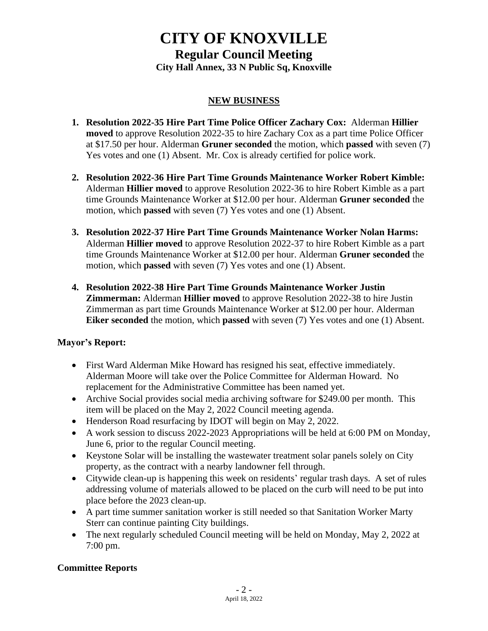# **CITY OF KNOXVILLE**

**Regular Council Meeting City Hall Annex, 33 N Public Sq, Knoxville**

#### **NEW BUSINESS**

- **1. Resolution 2022-35 Hire Part Time Police Officer Zachary Cox:** Alderman **Hillier moved** to approve Resolution 2022-35 to hire Zachary Cox as a part time Police Officer at \$17.50 per hour. Alderman **Gruner seconded** the motion, which **passed** with seven (7) Yes votes and one (1) Absent. Mr. Cox is already certified for police work.
- **2. Resolution 2022-36 Hire Part Time Grounds Maintenance Worker Robert Kimble:** Alderman **Hillier moved** to approve Resolution 2022-36 to hire Robert Kimble as a part time Grounds Maintenance Worker at \$12.00 per hour. Alderman **Gruner seconded** the motion, which **passed** with seven (7) Yes votes and one (1) Absent.
- **3. Resolution 2022-37 Hire Part Time Grounds Maintenance Worker Nolan Harms:** Alderman **Hillier moved** to approve Resolution 2022-37 to hire Robert Kimble as a part time Grounds Maintenance Worker at \$12.00 per hour. Alderman **Gruner seconded** the motion, which **passed** with seven (7) Yes votes and one (1) Absent.
- **4. Resolution 2022-38 Hire Part Time Grounds Maintenance Worker Justin Zimmerman:** Alderman **Hillier moved** to approve Resolution 2022-38 to hire Justin Zimmerman as part time Grounds Maintenance Worker at \$12.00 per hour. Alderman **Eiker seconded** the motion, which **passed** with seven (7) Yes votes and one (1) Absent.

#### **Mayor's Report:**

- First Ward Alderman Mike Howard has resigned his seat, effective immediately. Alderman Moore will take over the Police Committee for Alderman Howard. No replacement for the Administrative Committee has been named yet.
- Archive Social provides social media archiving software for \$249.00 per month. This item will be placed on the May 2, 2022 Council meeting agenda.
- Henderson Road resurfacing by IDOT will begin on May 2, 2022.
- A work session to discuss 2022-2023 Appropriations will be held at 6:00 PM on Monday, June 6, prior to the regular Council meeting.
- Keystone Solar will be installing the wastewater treatment solar panels solely on City property, as the contract with a nearby landowner fell through.
- Citywide clean-up is happening this week on residents' regular trash days. A set of rules addressing volume of materials allowed to be placed on the curb will need to be put into place before the 2023 clean-up.
- A part time summer sanitation worker is still needed so that Sanitation Worker Marty Sterr can continue painting City buildings.
- The next regularly scheduled Council meeting will be held on Monday, May 2, 2022 at 7:00 pm.

#### **Committee Reports**